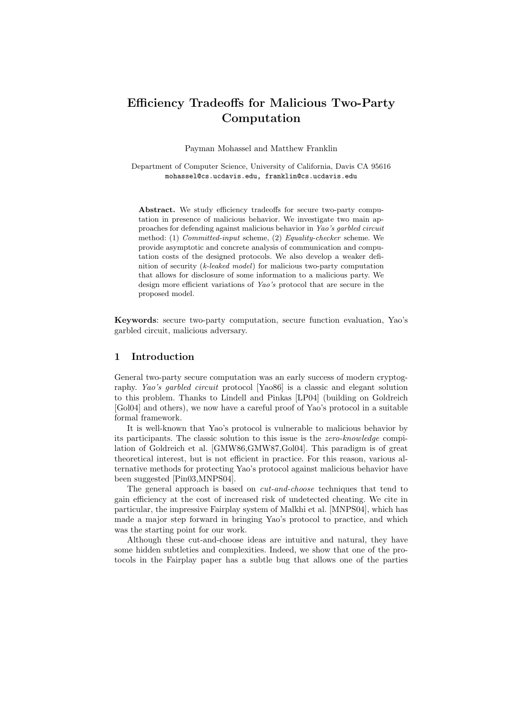# Efficiency Tradeoffs for Malicious Two-Party Computation

Payman Mohassel and Matthew Franklin

Department of Computer Science, University of California, Davis CA 95616 mohassel@cs.ucdavis.edu, franklin@cs.ucdavis.edu

Abstract. We study efficiency tradeoffs for secure two-party computation in presence of malicious behavior. We investigate two main approaches for defending against malicious behavior in Yao's garbled circuit method: (1) Committed-input scheme, (2) Equality-checker scheme. We provide asymptotic and concrete analysis of communication and computation costs of the designed protocols. We also develop a weaker definition of security  $(k$ -leaked model) for malicious two-party computation that allows for disclosure of some information to a malicious party. We design more efficient variations of Yao's protocol that are secure in the proposed model.

Keywords: secure two-party computation, secure function evaluation, Yao's garbled circuit, malicious adversary.

# 1 Introduction

General two-party secure computation was an early success of modern cryptography. Yao's garbled circuit protocol [Yao86] is a classic and elegant solution to this problem. Thanks to Lindell and Pinkas [LP04] (building on Goldreich [Gol04] and others), we now have a careful proof of Yao's protocol in a suitable formal framework.

It is well-known that Yao's protocol is vulnerable to malicious behavior by its participants. The classic solution to this issue is the zero-knowledge compilation of Goldreich et al. [GMW86,GMW87,Gol04]. This paradigm is of great theoretical interest, but is not efficient in practice. For this reason, various alternative methods for protecting Yao's protocol against malicious behavior have been suggested [Pin03,MNPS04].

The general approach is based on cut-and-choose techniques that tend to gain efficiency at the cost of increased risk of undetected cheating. We cite in particular, the impressive Fairplay system of Malkhi et al. [MNPS04], which has made a major step forward in bringing Yao's protocol to practice, and which was the starting point for our work.

Although these cut-and-choose ideas are intuitive and natural, they have some hidden subtleties and complexities. Indeed, we show that one of the protocols in the Fairplay paper has a subtle bug that allows one of the parties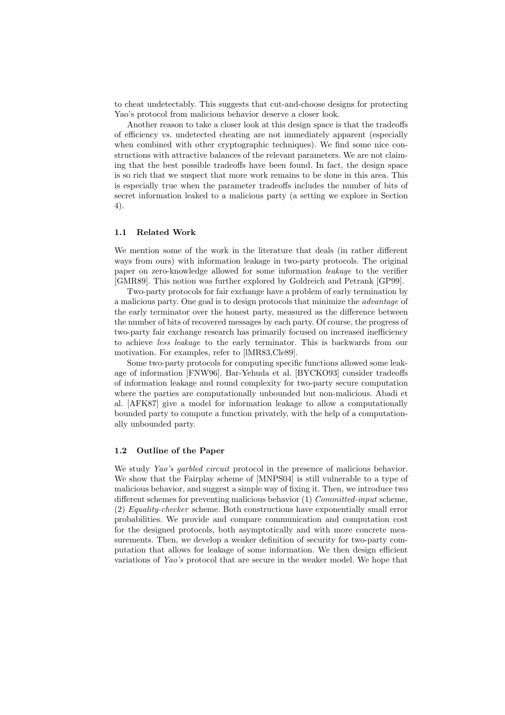to cheat undetectably. This suggests that cut-and-choose designs for protecting Yao's protocol from malicious behavior deserve a closer look.

Another reason to take a closer look at this design space is that the tradeoffs of efficiency vs. undetected cheating are not immediately apparent (especially when combined with other cryptographic techniques). We find some nice constructions with attractive balances of the relevant parameters. We are not claiming that the best possible tradeoffs have been found. In fact, the design space is so rich that we suspect that more work remains to be done in this area. This is especially true when the parameter tradeoffs includes the number of bits of secret information leaked to a malicious party (a setting we explore in Section 4).

#### 1.1 Related Work

We mention some of the work in the literature that deals (in rather different ways from ours) with information leakage in two-party protocols. The original paper on zero-knowledge allowed for some information leakage to the verifier [GMR89]. This notion was further explored by Goldreich and Petrank [GP99].

Two-party protocols for fair exchange have a problem of early termination by a malicious party. One goal is to design protocols that minimize the advantage of the early terminator over the honest party, measured as the difference between the number of bits of recovered messages by each party. Of course, the progress of two-party fair exchange research has primarily focused on increased inefficiency to achieve less leakage to the early terminator. This is backwards from our motivation. For examples, refer to [lMR83,Cle89].

Some two-party protocols for computing specific functions allowed some leakage of information [FNW96]. Bar-Yehuda et al. [BYCKO93] consider tradeoffs of information leakage and round complexity for two-party secure computation where the parties are computationally unbounded but non-malicious. Abadi et al. [AFK87] give a model for information leakage to allow a computationally bounded party to compute a function privately, with the help of a computationally unbounded party.

# 1.2 Outline of the Paper

We study Yao's garbled circuit protocol in the presence of malicious behavior. We show that the Fairplay scheme of [MNPS04] is still vulnerable to a type of malicious behavior, and suggest a simple way of fixing it. Then, we introduce two different schemes for preventing malicious behavior (1) *Committed-input* scheme, (2) Equality-checker scheme. Both constructions have exponentially small error probabilities. We provide and compare communication and computation cost for the designed protocols, both asymptotically and with more concrete measurements. Then, we develop a weaker definition of security for two-party computation that allows for leakage of some information. We then design efficient variations of Yao's protocol that are secure in the weaker model. We hope that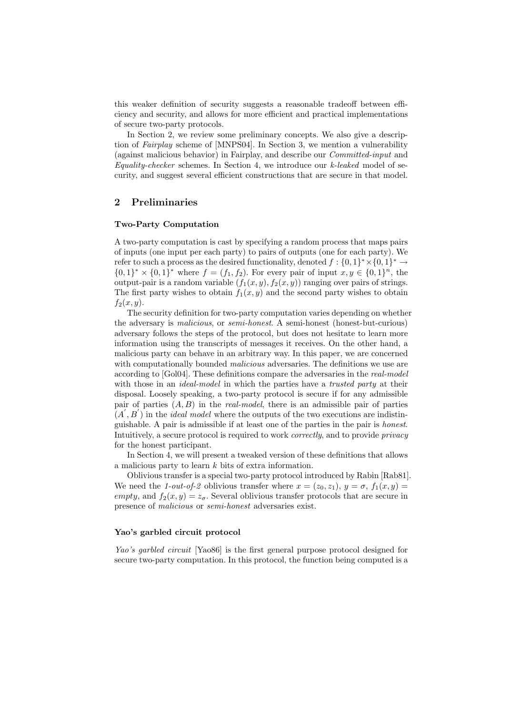this weaker definition of security suggests a reasonable tradeoff between efficiency and security, and allows for more efficient and practical implementations of secure two-party protocols.

In Section 2, we review some preliminary concepts. We also give a description of Fairplay scheme of [MNPS04]. In Section 3, we mention a vulnerability (against malicious behavior) in Fairplay, and describe our Committed-input and  $Equality-checker schemes. In Section 4, we introduce our *k-leaked* model of se$ curity, and suggest several efficient constructions that are secure in that model.

# 2 Preliminaries

# Two-Party Computation

A two-party computation is cast by specifying a random process that maps pairs of inputs (one input per each party) to pairs of outputs (one for each party). We refer to such a process as the desired functionality, denoted  $f: \{0,1\}^* \times \{0,1\}^* \to$  ${0,1}^* \times {0,1}^*$  where  $f = (f_1, f_2)$ . For every pair of input  $x, y \in {0,1}^n$ , the output-pair is a random variable  $(f_1(x, y), f_2(x, y))$  ranging over pairs of strings. The first party wishes to obtain  $f_1(x, y)$  and the second party wishes to obtain  $f_2(x, y)$ .

The security definition for two-party computation varies depending on whether the adversary is malicious, or semi-honest. A semi-honest (honest-but-curious) adversary follows the steps of the protocol, but does not hesitate to learn more information using the transcripts of messages it receives. On the other hand, a malicious party can behave in an arbitrary way. In this paper, we are concerned with computationally bounded *malicious* adversaries. The definitions we use are according to [Gol04]. These definitions compare the adversaries in the real-model with those in an *ideal-model* in which the parties have a *trusted party* at their disposal. Loosely speaking, a two-party protocol is secure if for any admissible pair of parties  $(A, B)$  in the *real-model*, there is an admissible pair of parties  $(A', B')$  in the *ideal model* where the outputs of the two executions are indistinguishable. A pair is admissible if at least one of the parties in the pair is honest. Intuitively, a secure protocol is required to work correctly, and to provide privacy for the honest participant.

In Section 4, we will present a tweaked version of these definitions that allows a malicious party to learn k bits of extra information.

Oblivious transfer is a special two-party protocol introduced by Rabin [Rab81]. We need the 1-out-of-2 oblivious transfer where  $x = (z_0, z_1), y = \sigma, f_1(x, y) =$ empty, and  $f_2(x, y) = z_{\sigma}$ . Several oblivious transfer protocols that are secure in presence of malicious or semi-honest adversaries exist.

# Yao's garbled circuit protocol

Yao's garbled circuit [Yao86] is the first general purpose protocol designed for secure two-party computation. In this protocol, the function being computed is a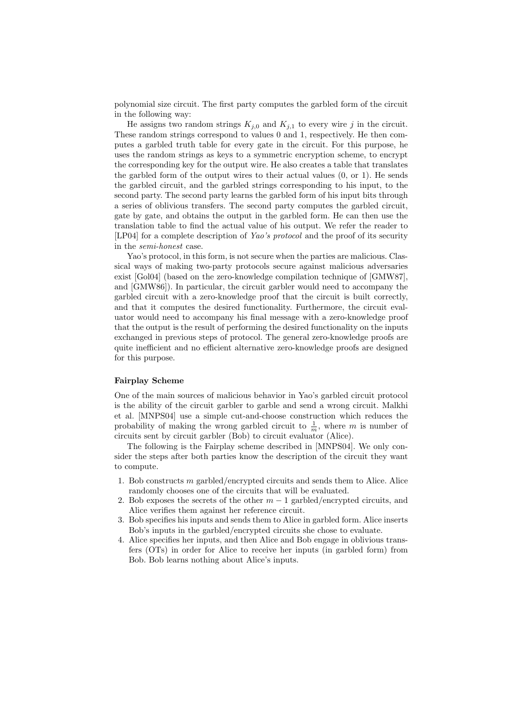polynomial size circuit. The first party computes the garbled form of the circuit in the following way:

He assigns two random strings  $K_{j,0}$  and  $K_{j,1}$  to every wire j in the circuit. These random strings correspond to values 0 and 1, respectively. He then computes a garbled truth table for every gate in the circuit. For this purpose, he uses the random strings as keys to a symmetric encryption scheme, to encrypt the corresponding key for the output wire. He also creates a table that translates the garbled form of the output wires to their actual values (0, or 1). He sends the garbled circuit, and the garbled strings corresponding to his input, to the second party. The second party learns the garbled form of his input bits through a series of oblivious transfers. The second party computes the garbled circuit, gate by gate, and obtains the output in the garbled form. He can then use the translation table to find the actual value of his output. We refer the reader to [LP04] for a complete description of Yao's protocol and the proof of its security in the semi-honest case.

Yao's protocol, in this form, is not secure when the parties are malicious. Classical ways of making two-party protocols secure against malicious adversaries exist [Gol04] (based on the zero-knowledge compilation technique of [GMW87], and [GMW86]). In particular, the circuit garbler would need to accompany the garbled circuit with a zero-knowledge proof that the circuit is built correctly, and that it computes the desired functionality. Furthermore, the circuit evaluator would need to accompany his final message with a zero-knowledge proof that the output is the result of performing the desired functionality on the inputs exchanged in previous steps of protocol. The general zero-knowledge proofs are quite inefficient and no efficient alternative zero-knowledge proofs are designed for this purpose.

#### Fairplay Scheme

One of the main sources of malicious behavior in Yao's garbled circuit protocol is the ability of the circuit garbler to garble and send a wrong circuit. Malkhi et al. [MNPS04] use a simple cut-and-choose construction which reduces the probability of making the wrong garbled circuit to  $\frac{1}{m}$ , where m is number of circuits sent by circuit garbler (Bob) to circuit evaluator (Alice).

The following is the Fairplay scheme described in [MNPS04]. We only consider the steps after both parties know the description of the circuit they want to compute.

- 1. Bob constructs m garbled/encrypted circuits and sends them to Alice. Alice randomly chooses one of the circuits that will be evaluated.
- 2. Bob exposes the secrets of the other  $m-1$  garbled/encrypted circuits, and Alice verifies them against her reference circuit.
- 3. Bob specifies his inputs and sends them to Alice in garbled form. Alice inserts Bob's inputs in the garbled/encrypted circuits she chose to evaluate.
- 4. Alice specifies her inputs, and then Alice and Bob engage in oblivious transfers (OTs) in order for Alice to receive her inputs (in garbled form) from Bob. Bob learns nothing about Alice's inputs.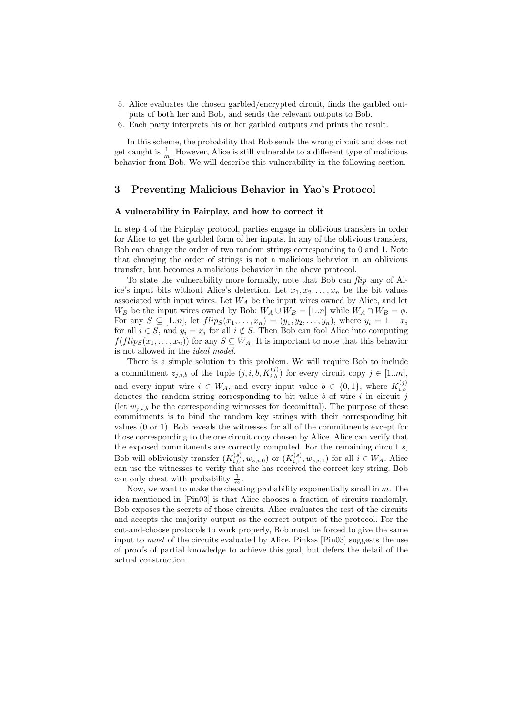- 5. Alice evaluates the chosen garbled/encrypted circuit, finds the garbled outputs of both her and Bob, and sends the relevant outputs to Bob.
- 6. Each party interprets his or her garbled outputs and prints the result.

In this scheme, the probability that Bob sends the wrong circuit and does not get caught is  $\frac{1}{m}$ . However, Alice is still vulnerable to a different type of malicious behavior from Bob. We will describe this vulnerability in the following section.

# 3 Preventing Malicious Behavior in Yao's Protocol

## A vulnerability in Fairplay, and how to correct it

In step 4 of the Fairplay protocol, parties engage in oblivious transfers in order for Alice to get the garbled form of her inputs. In any of the oblivious transfers, Bob can change the order of two random strings corresponding to 0 and 1. Note that changing the order of strings is not a malicious behavior in an oblivious transfer, but becomes a malicious behavior in the above protocol.

To state the vulnerability more formally, note that Bob can flip any of Alice's input bits without Alice's detection. Let  $x_1, x_2, \ldots, x_n$  be the bit values associated with input wires. Let  $W_A$  be the input wires owned by Alice, and let  $W_B$  be the input wires owned by Bob:  $W_A \cup W_B = [1..n]$  while  $W_A \cap W_B = \phi$ . For any  $S \subseteq [1..n]$ , let  $flip_S(x_1,...,x_n) = (y_1, y_2,..., y_n)$ , where  $y_i = 1 - x_i$ for all  $i \in S$ , and  $y_i = x_i$  for all  $i \notin S$ . Then Bob can fool Alice into computing  $f(flip_S(x_1, \ldots, x_n))$  for any  $S \subseteq W_A$ . It is important to note that this behavior is not allowed in the ideal model.

There is a simple solution to this problem. We will require Bob to include a commitment  $z_{j,i,b}$  of the tuple  $(j, i, b, K_{i,b}^{(j)})$  for every circuit copy  $j \in [1..m],$ and every input wire  $i \in W_A$ , and every input value  $b \in \{0,1\}$ , where  $K_{i,b}^{(j)}$ i,b denotes the random string corresponding to bit value b of wire i in circuit j (let  $w_{i,i,b}$  be the corresponding witnesses for decomittal). The purpose of these commitments is to bind the random key strings with their corresponding bit values (0 or 1). Bob reveals the witnesses for all of the commitments except for those corresponding to the one circuit copy chosen by Alice. Alice can verify that the exposed commitments are correctly computed. For the remaining circuit s, Bob will obliviously transfer  $(K_{i,0}^{(s)}, w_{s,i,0})$  or  $(K_{i,1}^{(s)}, w_{s,i,1})$  for all  $i \in W_A$ . Alice can use the witnesses to verify that she has received the correct key string. Bob can only cheat with probability  $\frac{1}{m}$ .

Now, we want to make the cheating probability exponentially small in  $m$ . The idea mentioned in [Pin03] is that Alice chooses a fraction of circuits randomly. Bob exposes the secrets of those circuits. Alice evaluates the rest of the circuits and accepts the majority output as the correct output of the protocol. For the cut-and-choose protocols to work properly, Bob must be forced to give the same input to most of the circuits evaluated by Alice. Pinkas [Pin03] suggests the use of proofs of partial knowledge to achieve this goal, but defers the detail of the actual construction.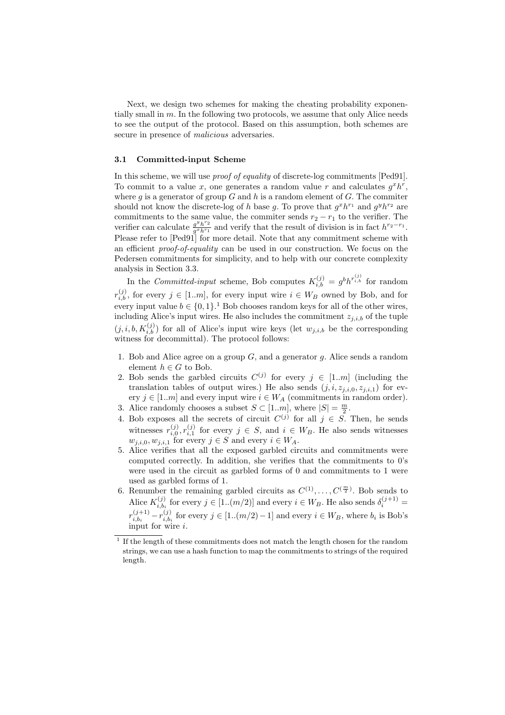Next, we design two schemes for making the cheating probability exponentially small in  $m$ . In the following two protocols, we assume that only Alice needs to see the output of the protocol. Based on this assumption, both schemes are secure in presence of *malicious* adversaries.

#### 3.1 Committed-input Scheme

In this scheme, we will use *proof of equality* of discrete-log commitments [Ped91]. To commit to a value x, one generates a random value r and calculates  $g^x h^r$ , where g is a generator of group  $G$  and  $h$  is a random element of  $G$ . The commiter should not know the discrete-log of h base g. To prove that  $g^x h^{r_1}$  and  $g^y h^{r_2}$  are commitments to the same value, the commiter sends  $r_2 - r_1$  to the verifier. The verifier can calculate  $\frac{g^y h^{r_2}}{g^x h^{r_1}}$  $\frac{g^gh'^2}{g^x h^{r_1}}$  and verify that the result of division is in fact  $h^{r_2-r_1}$ . Please refer to [Ped91] for more detail. Note that any commitment scheme with an efficient proof-of-equality can be used in our construction. We focus on the Pedersen commitments for simplicity, and to help with our concrete complexity analysis in Section 3.3.

In the Committed-input scheme, Bob computes  $K_{i,b}^{(j)} = g^b h^{r_{i,b}^{(j)}}$  for random  $r_{i,b}^{(j)}$ , for every  $j \in [1..m]$ , for every input wire  $i \in W_B$  owned by Bob, and for every input value  $b \in \{0,1\}$ .<sup>1</sup> Bob chooses random keys for all of the other wires, including Alice's input wires. He also includes the commitment  $z_{j,i,b}$  of the tuple  $(j, i, b, K_{i,b}^{(j)})$  for all of Alice's input wire keys (let  $w_{j,i,b}$  be the corresponding witness for decommittal). The protocol follows:

- 1. Bob and Alice agree on a group  $G$ , and a generator  $g$ . Alice sends a random element  $h \in G$  to Bob.
- 2. Bob sends the garbled circuits  $C^{(j)}$  for every  $j \in [1..m]$  (including the translation tables of output wires.) He also sends  $(j, i, z_{j,i,0}, z_{j,i,1})$  for every  $j \in [1..m]$  and every input wire  $i \in W_A$  (commitments in random order).
- 3. Alice randomly chooses a subset  $S \subset [1..m]$ , where  $|S| = \frac{m}{2}$ .
- 4. Bob exposes all the secrets of circuit  $C^{(j)}$  for all  $j \in S$ . Then, he sends witnesses  $r_{i,0}^{(j)}, r_{i,1}^{(j)}$  for every  $j \in S$ , and  $i \in W_B$ . He also sends witnesses  $w_{j,i,0}, w_{j,i,1}$  for every  $j \in S$  and every  $i \in W_A$ .
- 5. Alice verifies that all the exposed garbled circuits and commitments were computed correctly. In addition, she verifies that the commitments to 0's were used in the circuit as garbled forms of 0 and commitments to 1 were used as garbled forms of 1.
- 6. Renumber the remaining garbled circuits as  $C^{(1)}, \ldots, C^{(\frac{m}{2})}$ . Bob sends to Alice  $K_{i,b_i}^{(j)}$  $\lambda_{i,b_i}^{(j)}$  for every  $j \in [1..(m/2)]$  and every  $i \in W_B$ . He also sends  $\delta_i^{(j+1)} =$  $r_{i,b_i}^{(j+1)}$  $\frac{(j+1)}{i, b_i} - r^{(j)}_{i, b_i}$  $\sum_{i,b_i}^{(j)}$  for every  $j \in [1..(m/2)-1]$  and every  $i \in W_B$ , where  $b_i$  is Bob's input for wire i.

<sup>1</sup> If the length of these commitments does not match the length chosen for the random strings, we can use a hash function to map the commitments to strings of the required length.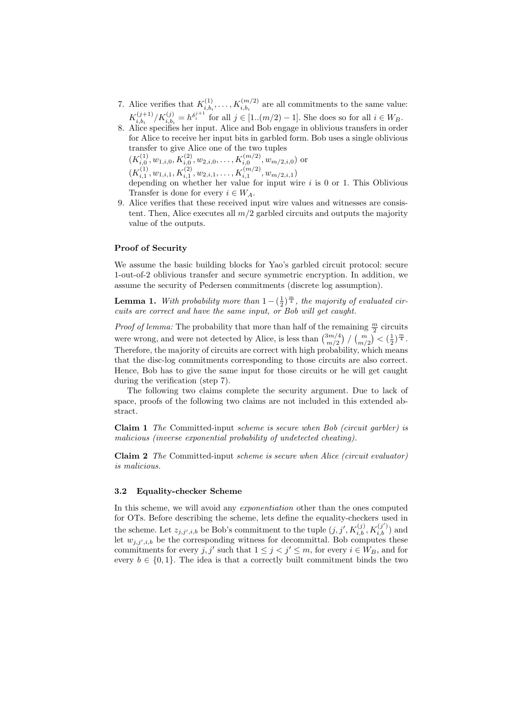- 7. Alice verifies that  $K_{i,b}^{(1)}$  $i_{i,b_i}^{(1)}, \ldots, K_{i,b_i}^{(m/2)}$  are all commitments to the same value:  $K_{i, h_i}^{(j+1)}$  $\binom{(j+1)}{i, b_i} / K_{i, b_i}^{(j)} = h^{\delta_i^{j+1}}$  for all  $j \in [1..(m/2) - 1]$ . She does so for all  $i \in W_B$ .
- 8. Alice specifies her input. Alice and Bob engage in oblivious transfers in order for Alice to receive her input bits in garbled form. Bob uses a single oblivious transfer to give Alice one of the two tuples  $(K_{i,0}^{(1)}, w_{1,i,0}, K_{i,0}^{(2)}, w_{2,i,0}, \ldots, K_{i,0}^{(m/2)}, w_{m/2,i,0})$  or  $(K_{i,1}^{(1)}, w_{1,i,1}, K_{i,1}^{(2)}, w_{2,i,1}, \ldots, K_{i,1}^{(m/2)}, w_{m/2,i,1})$ depending on whether her value for input wire  $i$  is 0 or 1. This Oblivious Transfer is done for every  $i \in W_A$ .
- 9. Alice verifies that these received input wire values and witnesses are consistent. Then, Alice executes all  $m/2$  garbled circuits and outputs the majority value of the outputs.

# Proof of Security

We assume the basic building blocks for Yao's garbled circuit protocol: secure 1-out-of-2 oblivious transfer and secure symmetric encryption. In addition, we assume the security of Pedersen commitments (discrete log assumption).

**Lemma 1.** With probability more than  $1 - (\frac{1}{2})^{\frac{m}{4}}$ , the majority of evaluated circuits are correct and have the same input, or Bob will get caught.

*Proof of lemma:* The probability that more than half of the remaining  $\frac{m}{2}$  circuits were wrong, and were not detected by Alice, is less than  $\binom{3m/4}{m/2}$  $\binom{3m/4}{m/2}$  /  $\binom{m}{m/2}$   $\lt (\frac{1}{2})^{\frac{m}{4}}$ . Therefore, the majority of circuits are correct with high probability, which means that the disc-log commitments corresponding to those circuits are also correct. Hence, Bob has to give the same input for those circuits or he will get caught during the verification (step 7).

The following two claims complete the security argument. Due to lack of space, proofs of the following two claims are not included in this extended abstract.

Claim 1 The Committed-input scheme is secure when Bob (circuit garbler) is malicious (inverse exponential probability of undetected cheating).

Claim 2 The Committed-input scheme is secure when Alice (circuit evaluator) is malicious.

## 3.2 Equality-checker Scheme

In this scheme, we will avoid any *exponentiation* other than the ones computed for OTs. Before describing the scheme, lets define the equality-checkers used in the scheme. Let  $z_{j,j',i,b}$  be Bob's commitment to the tuple  $(j, j', K_{i,b}^{(j)}, K_{i,b}^{(j')})$  and let  $w_{j,j',i,b}$  be the corresponding witness for decommittal. Bob computes these commitments for every  $j, j'$  such that  $1 \leq j < j' \leq m$ , for every  $i \in W_B$ , and for every  $b \in \{0,1\}$ . The idea is that a correctly built commitment binds the two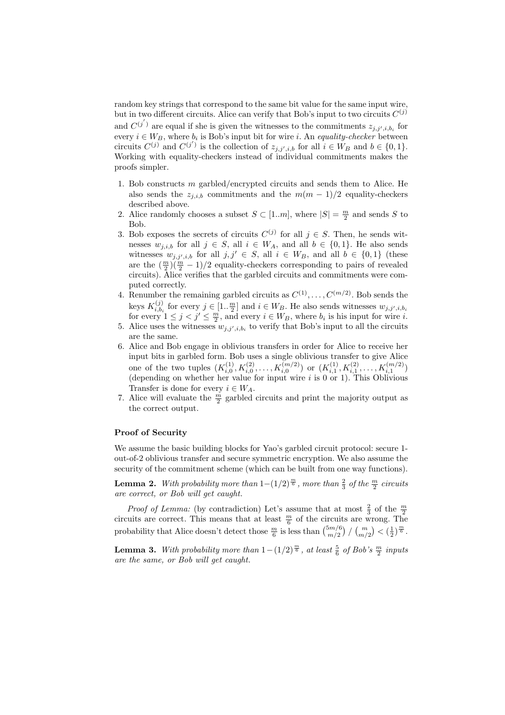random key strings that correspond to the same bit value for the same input wire, but in two different circuits. Alice can verify that Bob's input to two circuits  $C^{(j)}$ and  $C^{(j')}$  are equal if she is given the witnesses to the commitments  $z_{j,j',i,b_i}$  for every  $i \in W_B$ , where  $b_i$  is Bob's input bit for wire i. An equality-checker between circuits  $C^{(j)}$  and  $C^{(j')}$  is the collection of  $z_{j,j',i,b}$  for all  $i \in W_B$  and  $b \in \{0,1\}.$ Working with equality-checkers instead of individual commitments makes the proofs simpler.

- 1. Bob constructs m garbled/encrypted circuits and sends them to Alice. He also sends the  $z_{i,i,b}$  commitments and the  $m(m-1)/2$  equality-checkers described above.
- 2. Alice randomly chooses a subset  $S \subset [1..m]$ , where  $|S| = \frac{m}{2}$  and sends S to Bob.
- 3. Bob exposes the secrets of circuits  $C^{(j)}$  for all  $j \in S$ . Then, he sends witnesses  $w_{i,i,b}$  for all  $j \in S$ , all  $i \in W_A$ , and all  $b \in \{0,1\}$ . He also sends witnesses  $w_{j,j',i,b}$  for all  $j, j' \in S$ , all  $i \in W_B$ , and all  $b \in \{0,1\}$  (these are the  $\left(\frac{m}{2}\right)\left(\frac{m}{2}-1\right)/2$  equality-checkers corresponding to pairs of revealed circuits). Alice verifies that the garbled circuits and commitments were computed correctly.
- 4. Renumber the remaining garbled circuits as  $C^{(1)}, \ldots, C^{(m/2)}$ . Bob sends the keys  $K_{i,b_i}^{(j)}$ keys  $K_{i,b_i}^{(j)}$  for every  $j \in [1, \frac{m}{2}]$  and  $i \in W_B$ . He also sends witnesses  $w_{j,j',i,b_i}$  for every  $1 \leq j < j' \leq \frac{m}{2}$ , and every  $i \in W_B$ , where  $b_i$  is his input for wire  $i$ .
- 5. Alice uses the witnesses  $w_{j,j',i,b_i}$  to verify that Bob's input to all the circuits are the same.
- 6. Alice and Bob engage in oblivious transfers in order for Alice to receive her input bits in garbled form. Bob uses a single oblivious transfer to give Alice one of the two tuples  $(K_{i,0}^{(1)}, K_{i,0}^{(2)}, \ldots, K_{i,0}^{(m/2)})$  or  $(K_{i,1}^{(1)}, K_{i,1}^{(2)}, \ldots, K_{i,1}^{(m/2)})$ (depending on whether her value for input wire  $i$  is 0 or 1). This Oblivious Transfer is done for every  $i \in W_A$ .
- 7. Alice will evaluate the  $\frac{m}{2}$  garbled circuits and print the majority output as the correct output.

#### Proof of Security

We assume the basic building blocks for Yao's garbled circuit protocol: secure 1 out-of-2 oblivious transfer and secure symmetric encryption. We also assume the security of the commitment scheme (which can be built from one way functions).

**Lemma 2.** With probability more than  $1-(1/2)^{\frac{m}{6}}$ , more than  $\frac{2}{3}$  of the  $\frac{m}{2}$  circuits are correct, or Bob will get caught.

*Proof of Lemma:* (by contradiction) Let's assume that at most  $\frac{2}{3}$  of the  $\frac{m}{2}$ circuits are correct. This means that at least  $\frac{m}{6}$  of the circuits are wrong. The probability that Alice doesn't detect those  $\frac{m}{6}$  is less than  $\binom{5m/6}{m/2}$  $\binom{5m/6}{m/2}$  /  $\binom{m}{m/2}$   $\lt (\frac{1}{2})^{\frac{m}{6}}$ .

**Lemma 3.** With probability more than  $1-(1/2)^{\frac{m}{6}}$ , at least  $\frac{5}{6}$  of Bob's  $\frac{m}{2}$  inputs are the same, or Bob will get caught.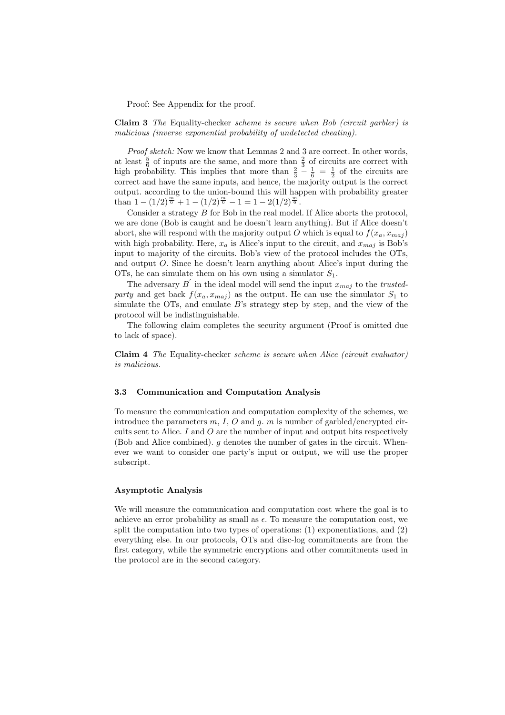Proof: See Appendix for the proof.

Claim 3 The Equality-checker scheme is secure when Bob (circuit garbler) is malicious (inverse exponential probability of undetected cheating).

Proof sketch: Now we know that Lemmas 2 and 3 are correct. In other words, at least  $\frac{5}{6}$  of inputs are the same, and more than  $\frac{2}{3}$  of circuits are correct with high probability. This implies that more than  $\frac{2}{3} - \frac{1}{6} = \frac{1}{2}$  of the circuits are correct and have the same inputs, and hence, the majority output is the correct output. according to the union-bound this will happen with probability greater than  $1 - (1/2)^{\frac{m}{6}} + 1 - (1/2)^{\frac{m}{6}} - 1 = 1 - 2(1/2)^{\frac{m}{6}}$ .

Consider a strategy B for Bob in the real model. If Alice aborts the protocol, we are done (Bob is caught and he doesn't learn anything). But if Alice doesn't abort, she will respond with the majority output O which is equal to  $f(x_a, x_{maj})$ with high probability. Here,  $x_a$  is Alice's input to the circuit, and  $x_{maj}$  is Bob's input to majority of the circuits. Bob's view of the protocol includes the OTs, and output O. Since he doesn't learn anything about Alice's input during the OTs, he can simulate them on his own using a simulator  $S_1$ .

The adversary  $B'$  in the ideal model will send the input  $x_{maj}$  to the trustedparty and get back  $f(x_a, x_{maj})$  as the output. He can use the simulator  $S_1$  to simulate the OTs, and emulate B's strategy step by step, and the view of the protocol will be indistinguishable.

The following claim completes the security argument (Proof is omitted due to lack of space).

Claim 4 The Equality-checker scheme is secure when Alice (circuit evaluator) is malicious.

#### 3.3 Communication and Computation Analysis

To measure the communication and computation complexity of the schemes, we introduce the parameters  $m, I, O$  and  $g, m$  is number of garbled/encrypted circuits sent to Alice.  $I$  and  $O$  are the number of input and output bits respectively (Bob and Alice combined).  $q$  denotes the number of gates in the circuit. Whenever we want to consider one party's input or output, we will use the proper subscript.

# Asymptotic Analysis

We will measure the communication and computation cost where the goal is to achieve an error probability as small as  $\epsilon$ . To measure the computation cost, we split the computation into two types of operations: (1) exponentiations, and (2) everything else. In our protocols, OTs and disc-log commitments are from the first category, while the symmetric encryptions and other commitments used in the protocol are in the second category.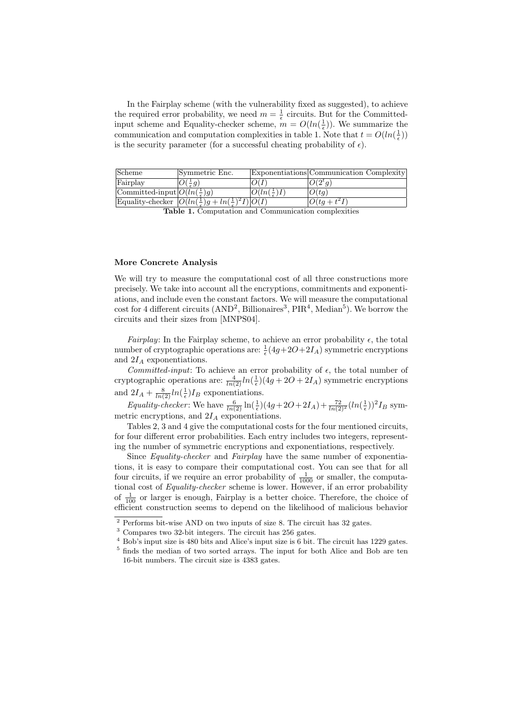In the Fairplay scheme (with the vulnerability fixed as suggested), to achieve the required error probability, we need  $m = \frac{1}{\epsilon}$  circuits. But for the Committedinput scheme and Equality-checker scheme,  $m = O(ln(\frac{1}{\epsilon}))$ . We summarize the communication and computation complexities in table 1. Note that  $t = O(\ln(\frac{1}{\epsilon}))$ is the security parameter (for a successful cheating probability of  $\epsilon$ ).

| Scheme                                | Symmetric Enc.                                                                  |                       | Exponentiations Communication Complexity |
|---------------------------------------|---------------------------------------------------------------------------------|-----------------------|------------------------------------------|
| Fairplay                              | $O(-q)$                                                                         |                       | $ O(2^t q) $                             |
| Committed-input $O(ln(\frac{1}{2})q)$ |                                                                                 | $ O(ln(\frac{1}{2})I$ | O(tq)                                    |
|                                       | Equality-checker $ O(ln(\frac{1}{\epsilon})g + ln(\frac{1}{\epsilon})^2I) O(I)$ |                       | $ O(tq+t^2I)$                            |

Table 1. Computation and Communication complexities

#### More Concrete Analysis

We will try to measure the computational cost of all three constructions more precisely. We take into account all the encryptions, commitments and exponentiations, and include even the constant factors. We will measure the computational cost for 4 different circuits  $(AND^2, Billionaires^3, PIR<sup>4</sup>, Median<sup>5</sup>)$ . We borrow the circuits and their sizes from [MNPS04].

Fairplay: In the Fairplay scheme, to achieve an error probability  $\epsilon$ , the total number of cryptographic operations are:  $\frac{1}{\epsilon}(4g+2O+2I_A)$  symmetric encryptions and  $2I_A$  exponentiations.

Committed-input: To achieve an error probability of  $\epsilon$ , the total number of cryptographic operations are:  $\frac{4}{\ln(2)}\ln(\frac{1}{\epsilon})(4g + 2O + 2I_A)$  symmetric encryptions and  $2I_A + \frac{8}{\ln(2)} \ln(\frac{1}{\epsilon}) I_B$  exponentiations.

Equality-checker: We have  $\frac{6}{\ln(2)} \ln(\frac{1}{\epsilon}) (4g + 2O + 2I_A) + \frac{72}{\ln(2)^2} (\ln(\frac{1}{\epsilon}))^2 I_B$  symmetric encryptions, and  $2I_A$  exponentiations.

Tables 2, 3 and 4 give the computational costs for the four mentioned circuits, for four different error probabilities. Each entry includes two integers, representing the number of symmetric encryptions and exponentiations, respectively.

Since Equality-checker and Fairplay have the same number of exponentiations, it is easy to compare their computational cost. You can see that for all four circuits, if we require an error probability of  $\frac{1}{1000}$  or smaller, the computational cost of Equality-checker scheme is lower. However, if an error probability of  $\frac{1}{100}$  or larger is enough, Fairplay is a better choice. Therefore, the choice of efficient construction seems to depend on the likelihood of malicious behavior

 $^{\rm 2}$  Performs bit-wise AND on two inputs of size 8. The circuit has 32 gates.

 $^3$  Compares two 32-bit integers. The circuit has 256 gates.

<sup>4</sup> Bob's input size is 480 bits and Alice's input size is 6 bit. The circuit has 1229 gates. <sup>5</sup> finds the median of two sorted arrays. The input for both Alice and Bob are ten 16-bit numbers. The circuit size is 4383 gates.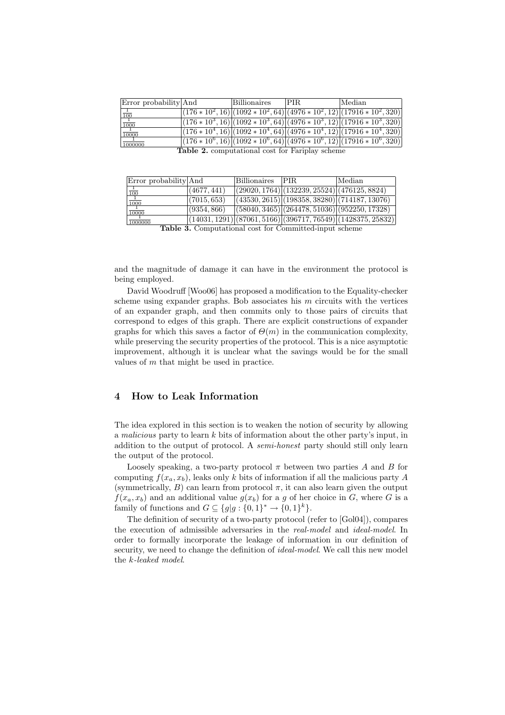| Error probability And               | Billionaires | IPIR.                                                  | Median                                                                     |
|-------------------------------------|--------------|--------------------------------------------------------|----------------------------------------------------------------------------|
|                                     |              |                                                        | $(176 * 10^2, 16) (1092 * 10^2, 64) (4976 * 10^2, 12) (17916 * 10^2, 320)$ |
| $\frac{1}{100}$<br>$\frac{1}{1000}$ |              |                                                        | $(176 * 10^3, 16) (1092 * 10^3, 64) (4976 * 10^3, 12) (17916 * 10^3, 320)$ |
| $\frac{1}{10000}$                   |              |                                                        | $ (176*10^4, 16) (1092*10^4, 64) (4976*10^4, 12) (17916*10^4, 320) $       |
| 1000000                             |              |                                                        | $ (176*10^6, 16) (1092*10^6, 64) (4976*10^6, 12) (17916*10^6, 320) $       |
|                                     |              | <b>Table 2.</b> computational cost for Fariplay scheme |                                                                            |

Error probability And Billionaires PIR Median 1  $\frac{(4677, 441)}{(29020, 1764)} \frac{(132239, 25524)}{(476125, 8824)}$ <br>  $\frac{(476125, 8824)}{(13530, 2615)}$  (198358, 38280) (714187, 13076  $100$  $\frac{(7015, 653)}{(9354, 866)}$   $\frac{(43530, 2615)}{(58040, 3465)}$   $\frac{(264478, 51036)}{(952250, 17328)}$ 1000 <sup>10000</sup> (9354, 866) (58040, 3465) (264478, 51036) (952250, 17328) 10000  $\frac{1}{1000000}$  (14031, 1291) (87061, 5166) (396717, 76549)

Table 3. Computational cost for Committed-input scheme

and the magnitude of damage it can have in the environment the protocol is being employed.

David Woodruff [Woo06] has proposed a modification to the Equality-checker scheme using expander graphs. Bob associates his  $m$  circuits with the vertices of an expander graph, and then commits only to those pairs of circuits that correspond to edges of this graph. There are explicit constructions of expander graphs for which this saves a factor of  $\Theta(m)$  in the communication complexity, while preserving the security properties of the protocol. This is a nice asymptotic improvement, although it is unclear what the savings would be for the small values of  $m$  that might be used in practice.

# 4 How to Leak Information

The idea explored in this section is to weaken the notion of security by allowing a malicious party to learn k bits of information about the other party's input, in addition to the output of protocol. A semi-honest party should still only learn the output of the protocol.

Loosely speaking, a two-party protocol  $\pi$  between two parties A and B for computing  $f(x_a, x_b)$ , leaks only k bits of information if all the malicious party A (symmetrically, B) can learn from protocol  $\pi$ , it can also learn given the output  $f(x_a, x_b)$  and an additional value  $g(x_b)$  for a g of her choice in G, where G is a family of functions and  $G \subseteq \{g | g : \{0,1\}^* \to \{0,1\}^k\}.$ 

The definition of security of a two-party protocol (refer to [Gol04]), compares the execution of admissible adversaries in the real-model and ideal-model. In order to formally incorporate the leakage of information in our definition of security, we need to change the definition of *ideal-model*. We call this new model the k-leaked model.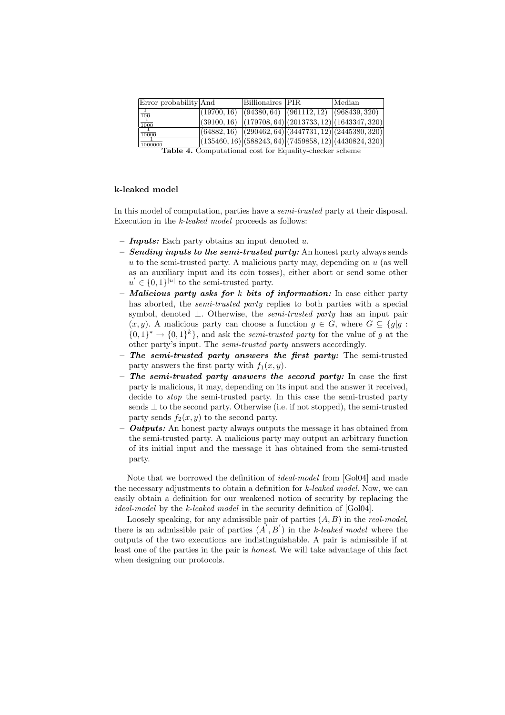| Error probability And                                  |  | Billionaires PIR |  | Median                                                                                 |
|--------------------------------------------------------|--|------------------|--|----------------------------------------------------------------------------------------|
| $\frac{1}{100}$                                        |  |                  |  | $ (19700, 16) \rangle$ $ (94380, 64) \rangle$ $ (961112, 12) \rangle$ $ (968439, 320)$ |
| $\frac{1}{1000}$                                       |  |                  |  | $(39100, 16)$ $(179708, 64)$ $(2013733, 12)$ $(1643347, 320)$                          |
| $\frac{1}{10000}$                                      |  |                  |  | $(64882, 16)$ $(290462, 64)$ $(3447731, 12)$ $(2445380, 320)$                          |
| 1000000                                                |  |                  |  | $( (135460, 16)   (588243, 64)   (7459858, 12)   (4430824, 320)$                       |
| Toble 4. Computational goot for Faughty ghogles sabome |  |                  |  |                                                                                        |

able 4. Computational cost for Equality-checker scheme

# k-leaked model

In this model of computation, parties have a *semi-trusted* party at their disposal. Execution in the *k-leaked model* proceeds as follows:

- **Inputs:** Each party obtains an input denoted  $u$ .
- $-$  Sending inputs to the semi-trusted party: An honest party always sends  $u$  to the semi-trusted party. A malicious party may, depending on  $u$  (as well as an auxiliary input and its coin tosses), either abort or send some other  $u' \in \{0,1\}^{|u|}$  to the semi-trusted party.
- Malicious party asks for  $k$  bits of information: In case either party has aborted, the *semi-trusted party* replies to both parties with a special symbol, denoted ⊥. Otherwise, the semi-trusted party has an input pair  $(x, y)$ . A malicious party can choose a function  $g \in G$ , where  $G \subseteq \{g | g : g\}$  $\{0,1\}^* \rightarrow \{0,1\}^k$ , and ask the *semi-trusted party* for the value of g at the other party's input. The semi-trusted party answers accordingly.
- $-$  The semi-trusted party answers the first party: The semi-trusted party answers the first party with  $f_1(x, y)$ .
- The semi-trusted party answers the second party: In case the first party is malicious, it may, depending on its input and the answer it received, decide to stop the semi-trusted party. In this case the semi-trusted party sends  $\perp$  to the second party. Otherwise (i.e. if not stopped), the semi-trusted party sends  $f_2(x, y)$  to the second party.
- **Outputs:** An honest party always outputs the message it has obtained from the semi-trusted party. A malicious party may output an arbitrary function of its initial input and the message it has obtained from the semi-trusted party.

Note that we borrowed the definition of ideal-model from [Gol04] and made the necessary adjustments to obtain a definition for k-leaked model. Now, we can easily obtain a definition for our weakened notion of security by replacing the ideal-model by the k-leaked model in the security definition of [Gol04].

Loosely speaking, for any admissible pair of parties  $(A, B)$  in the *real-model*, there is an admissible pair of parties  $(A', B')$  in the k-leaked model where the outputs of the two executions are indistinguishable. A pair is admissible if at least one of the parties in the pair is honest. We will take advantage of this fact when designing our protocols.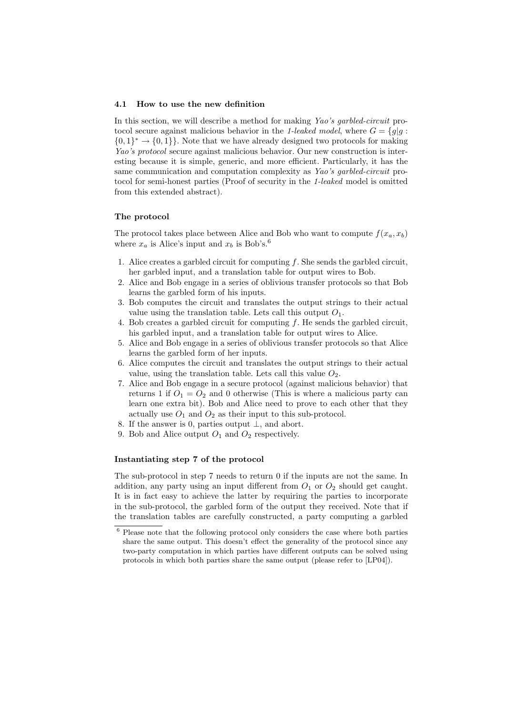#### 4.1 How to use the new definition

In this section, we will describe a method for making Yao's garbled-circuit protocol secure against malicious behavior in the 1-leaked model, where  $G = \{q | q$ :  $\{0,1\}^* \to \{0,1\}$ . Note that we have already designed two protocols for making Yao's protocol secure against malicious behavior. Our new construction is interesting because it is simple, generic, and more efficient. Particularly, it has the same communication and computation complexity as Yao's garbled-circuit protocol for semi-honest parties (Proof of security in the 1-leaked model is omitted from this extended abstract).

# The protocol

The protocol takes place between Alice and Bob who want to compute  $f(x_a, x_b)$ where  $x_a$  is Alice's input and  $x_b$  is Bob's.<sup>6</sup>

- 1. Alice creates a garbled circuit for computing  $f$ . She sends the garbled circuit, her garbled input, and a translation table for output wires to Bob.
- 2. Alice and Bob engage in a series of oblivious transfer protocols so that Bob learns the garbled form of his inputs.
- 3. Bob computes the circuit and translates the output strings to their actual value using the translation table. Lets call this output  $O_1$ .
- 4. Bob creates a garbled circuit for computing f. He sends the garbled circuit, his garbled input, and a translation table for output wires to Alice.
- 5. Alice and Bob engage in a series of oblivious transfer protocols so that Alice learns the garbled form of her inputs.
- 6. Alice computes the circuit and translates the output strings to their actual value, using the translation table. Lets call this value  $O_2$ .
- 7. Alice and Bob engage in a secure protocol (against malicious behavior) that returns 1 if  $O_1 = O_2$  and 0 otherwise (This is where a malicious party can learn one extra bit). Bob and Alice need to prove to each other that they actually use  $O_1$  and  $O_2$  as their input to this sub-protocol.
- 8. If the answer is 0, parties output  $\perp$ , and abort.
- 9. Bob and Alice output  $O_1$  and  $O_2$  respectively.

#### Instantiating step 7 of the protocol

The sub-protocol in step 7 needs to return 0 if the inputs are not the same. In addition, any party using an input different from  $O_1$  or  $O_2$  should get caught. It is in fact easy to achieve the latter by requiring the parties to incorporate in the sub-protocol, the garbled form of the output they received. Note that if the translation tables are carefully constructed, a party computing a garbled

<sup>6</sup> Please note that the following protocol only considers the case where both parties share the same output. This doesn't effect the generality of the protocol since any two-party computation in which parties have different outputs can be solved using protocols in which both parties share the same output (please refer to [LP04]).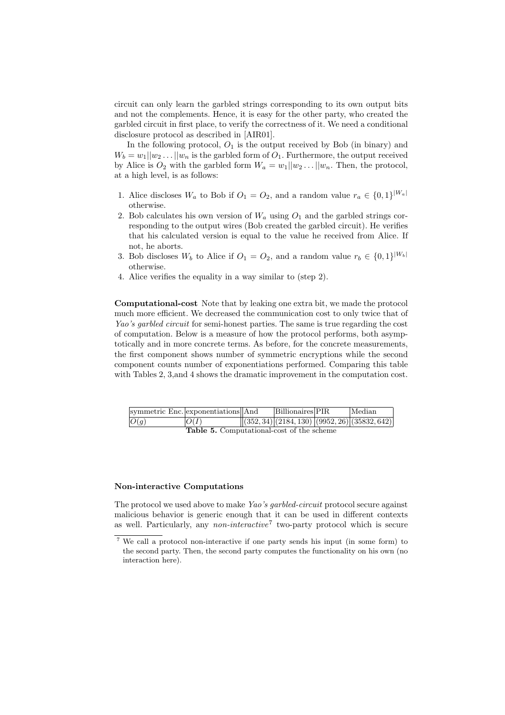circuit can only learn the garbled strings corresponding to its own output bits and not the complements. Hence, it is easy for the other party, who created the garbled circuit in first place, to verify the correctness of it. We need a conditional disclosure protocol as described in [AIR01].

In the following protocol,  $O_1$  is the output received by Bob (in binary) and  $W_b = w_1 || w_2 ... || w_n$  is the garbled form of  $O_1$ . Furthermore, the output received by Alice is  $O_2$  with the garbled form  $W_a = w_1 || w_2 ... || w_n$ . Then, the protocol, at a high level, is as follows:

- 1. Alice discloses  $W_a$  to Bob if  $O_1 = O_2$ , and a random value  $r_a \in \{0,1\}^{|W_a|}$ otherwise.
- 2. Bob calculates his own version of  $W_a$  using  $O_1$  and the garbled strings corresponding to the output wires (Bob created the garbled circuit). He verifies that his calculated version is equal to the value he received from Alice. If not, he aborts.
- 3. Bob discloses  $W_b$  to Alice if  $O_1 = O_2$ , and a random value  $r_b \in \{0,1\}^{|W_b|}$ otherwise.
- 4. Alice verifies the equality in a way similar to (step 2).

Computational-cost Note that by leaking one extra bit, we made the protocol much more efficient. We decreased the communication cost to only twice that of Yao's garbled circuit for semi-honest parties. The same is true regarding the cost of computation. Below is a measure of how the protocol performs, both asymptotically and in more concrete terms. As before, for the concrete measurements, the first component shows number of symmetric encryptions while the second component counts number of exponentiations performed. Comparing this table with Tables 2, 3,and 4 shows the dramatic improvement in the computation cost.

|      | symmetric Enc. exponentiations And               | Billionaires PIR | Median                                                 |
|------|--------------------------------------------------|------------------|--------------------------------------------------------|
| O(g) | O(I)                                             |                  | $\frac{1}{(352, 34)(2184, 130)(9952, 26)(35832, 642)}$ |
|      | <b>Table 5.</b> Computational-cost of the scheme |                  |                                                        |

#### Non-interactive Computations

The protocol we used above to make Yao's garbled-circuit protocol secure against malicious behavior is generic enough that it can be used in different contexts as well. Particularly, any *non-interactive*<sup>7</sup> two-party protocol which is secure

<sup>7</sup> We call a protocol non-interactive if one party sends his input (in some form) to the second party. Then, the second party computes the functionality on his own (no interaction here).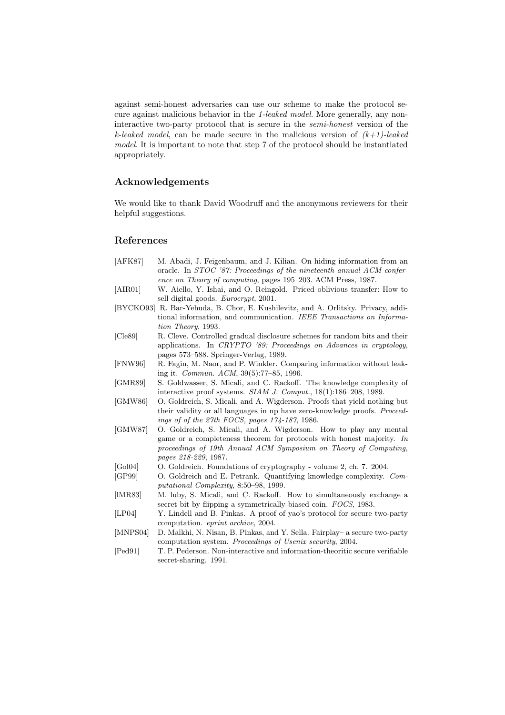against semi-honest adversaries can use our scheme to make the protocol secure against malicious behavior in the 1-leaked model. More generally, any noninteractive two-party protocol that is secure in the semi-honest version of the k-leaked model, can be made secure in the malicious version of  $(k+1)$ -leaked model. It is important to note that step 7 of the protocol should be instantiated appropriately.

# Acknowledgements

We would like to thank David Woodruff and the anonymous reviewers for their helpful suggestions.

## References

- [AFK87] M. Abadi, J. Feigenbaum, and J. Kilian. On hiding information from an oracle. In STOC '87: Proceedings of the nineteenth annual ACM conference on Theory of computing, pages 195–203. ACM Press, 1987. [AIR01] W. Aiello, Y. Ishai, and O. Reingold. Priced oblivious transfer: How to
- sell digital goods. Eurocrypt, 2001.
- [BYCKO93] R. Bar-Yehuda, B. Chor, E. Kushilevitz, and A. Orlitsky. Privacy, additional information, and communication. IEEE Transactions on Information Theory, 1993.
- [Cle89] R. Cleve. Controlled gradual disclosure schemes for random bits and their applications. In CRYPTO '89: Proceedings on Advances in cryptology, pages 573–588. Springer-Verlag, 1989.
- [FNW96] R. Fagin, M. Naor, and P. Winkler. Comparing information without leaking it. Commun. ACM, 39(5):77–85, 1996.
- [GMR89] S. Goldwasser, S. Micali, and C. Rackoff. The knowledge complexity of interactive proof systems. SIAM J. Comput., 18(1):186–208, 1989.
- [GMW86] O. Goldreich, S. Micali, and A. Wigderson. Proofs that yield nothing but their validity or all languages in np have zero-knowledge proofs. Proceedings of of the 27th FOCS, pages 174-187, 1986.
- [GMW87] O. Goldreich, S. Micali, and A. Wigderson. How to play any mental game or a completeness theorem for protocols with honest majority. In proceedings of 19th Annual ACM Symposium on Theory of Computing, pages 218-229, 1987.
- [Gol04] O. Goldreich. Foundations of cryptography volume 2, ch. 7. 2004.
- [GP99] O. Goldreich and E. Petrank. Quantifying knowledge complexity. Computational Complexity, 8:50–98, 1999.
- [lMR83] M. luby, S. Micali, and C. Rackoff. How to simultaneously exchange a secret bit by flipping a symmetrically-biased coin. FOCS, 1983.
- [LP04] Y. Lindell and B. Pinkas. A proof of yao's protocol for secure two-party computation. eprint archive, 2004.
- [MNPS04] D. Malkhi, N. Nisan, B. Pinkas, and Y. Sella. Fairplay– a secure two-party computation system. Proceedings of Usenix security, 2004.
- [Ped91] T. P. Pederson. Non-interactive and information-theoritic secure verifiable secret-sharing. 1991.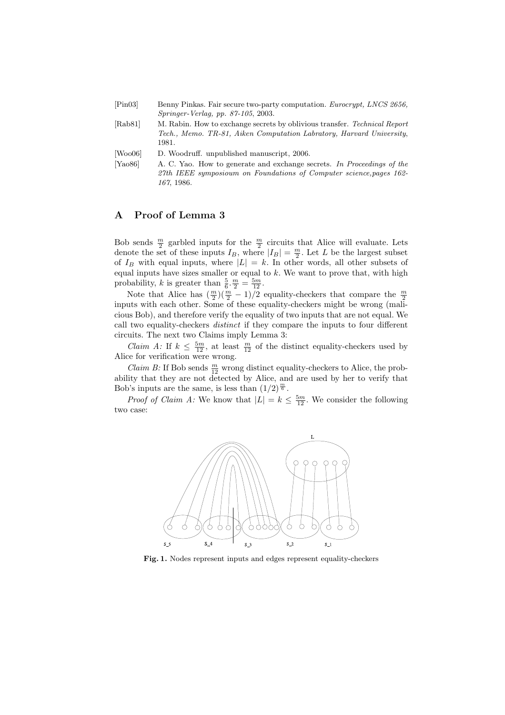| [Pin03] | Benny Pinkas. Fair secure two-party computation. Eurocrypt, LNCS 2656,<br>$Springer-Verlag, pp. 87-105, 2003.$                                              |
|---------|-------------------------------------------------------------------------------------------------------------------------------------------------------------|
| [Rab81] | M. Rabin. How to exchange secrets by oblivious transfer. Technical Report<br>Tech., Memo. TR-81, Aiken Computation Labratory, Harvard University,<br>1981.  |
| [Wood6] | D. Woodruff. unpublished manuscript, 2006.                                                                                                                  |
| [Ya086] | A. C. Yao. How to generate and exchange secrets. In Proceedings of the<br>27th IEEE symposioum on Foundations of Computer science, pages 162-<br>167, 1986. |

# A Proof of Lemma 3

Bob sends  $\frac{m}{2}$  garbled inputs for the  $\frac{m}{2}$  circuits that Alice will evaluate. Lets denote the set of these inputs  $I_B$ , where  $|I_B| = \frac{m}{2}$ . Let L be the largest subset of  $I_B$  with equal inputs, where  $|L| = k$ . In other words, all other subsets of equal inputs have sizes smaller or equal to  $k$ . We want to prove that, with high probability, k is greater than  $\frac{5}{6} \cdot \frac{m}{2} = \frac{5m}{12}$ .

Note that Alice has  $(\frac{m}{2})(\frac{m}{2}-1)/2$  equality-checkers that compare the  $\frac{m}{2}$ inputs with each other. Some of these equality-checkers might be wrong (malicious Bob), and therefore verify the equality of two inputs that are not equal. We call two equality-checkers distinct if they compare the inputs to four different circuits. The next two Claims imply Lemma 3:

*Claim A:* If  $k \leq \frac{5m}{12}$ , at least  $\frac{m}{12}$  of the distinct equality-checkers used by Alice for verification were wrong.

*Claim B*: If Bob sends  $\frac{m}{12}$  wrong distinct equality-checkers to Alice, the probability that they are not detected by Alice, and are used by her to verify that Bob's inputs are the same, is less than  $(1/2)^{\frac{m}{6}}$ .

*Proof of Claim A:* We know that  $|L| = k \leq \frac{5m}{12}$ . We consider the following two case:



Fig. 1. Nodes represent inputs and edges represent equality-checkers